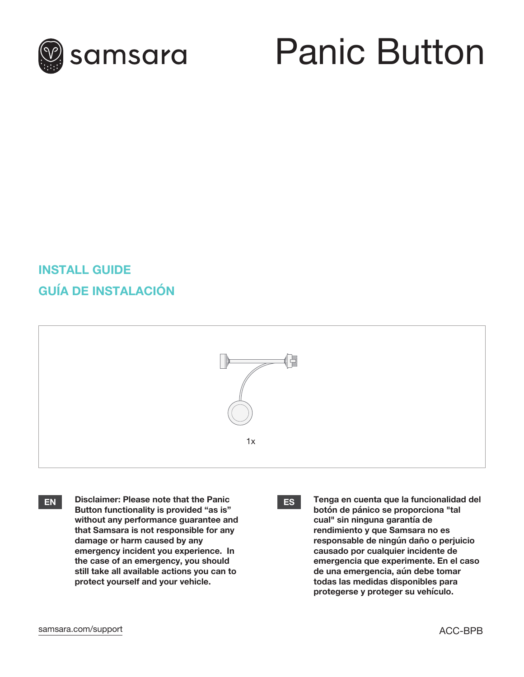

## Panic Button

## **INSTALL GUIDE GUÍA DE INSTALACIÓN**



**EN ES Tenga en cuenta que la funcionalidad del Disclaimer: Please note that the Panic Button functionality is provided "as is" without any performance guarantee and that Samsara is not responsible for any damage or harm caused by any emergency incident you experience. In the case of an emergency, you should still take all available actions you can to protect yourself and your vehicle.**



**botón de pánico se proporciona "tal cual" sin ninguna garantía de rendimiento y que Samsara no es responsable de ningún daño o perjuicio causado por cualquier incidente de emergencia que experimente. En el caso de una emergencia, aún debe tomar todas las medidas disponibles para protegerse y proteger su vehículo.**